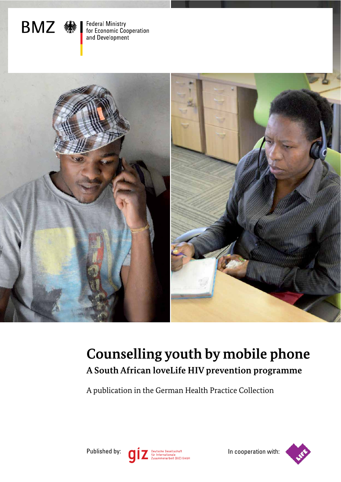

Federal Ministry<br>for Economic Cooperation<br>and Development



# **Counselling youth by mobile phone A South African loveLife HIV prevention programme**

A publication in the German Health Practice Collection



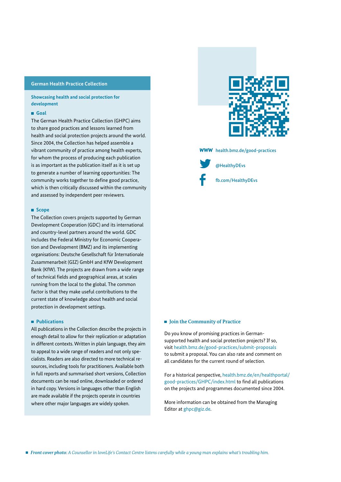#### **German Health Practice Collection**

**Showcasing health and social protection for development**

#### **Goal**

The German Health Practice Collection (GHPC) aims to share good practices and lessons learned from health and social protection projects around the world. Since 2004, the Collection has helped assemble a vibrant community of practice among health experts, for whom the process of producing each publication is as important as the publication itself as it is set up to generate a number of learning opportunities: The community works together to define good practice, which is then critically discussed within the community and assessed by independent peer reviewers.

#### **Scope**

The Collection covers projects supported by German Development Cooperation (GDC) and its international and country-level partners around the world. GDC includes the Federal Ministry for Economic Cooperation and Development (BMZ) and its implementing organisations: Deutsche Gesellschaft für Internationale Zusammenarbeit (GIZ) GmbH and KfW Development Bank (KfW). The projects are drawn from a wide range of technical fields and geographical areas, at scales running from the local to the global. The common factor is that they make useful contributions to the current state of knowledge about health and social protection in development settings.

#### **Publications**

All publications in the Collection describe the projects in enough detail to allow for their replication or adaptation in different contexts. Written in plain language, they aim to appeal to a wide range of readers and not only specialists. Readers are also directed to more technical resources, including tools for practitioners. Available both in full reports and summarised short versions, Collection documents can be read online, downloaded or ordered in hard copy. Versions in languages other than English are made available if the projects operate in countries where other major languages are widely spoken.



**WWW** health.bmz.de/good-practices



fb.com/HealthyDEvs @HealthyDEvs

#### ■ **Join the Community of Practice**

Do you know of promising practices in Germansupported health and social protection projects? If so, visit health.bmz.de/good-practices/submit-proposals to submit a proposal. You can also rate and comment on all candidates for the current round of selection.

For a historical perspective, health.bmz.de/en/healthportal/ good-practices/GHPC/index.html to find all publications on the projects and programmes documented since 2004.

More information can be obtained from the Managing Editor at ghpc@giz.de.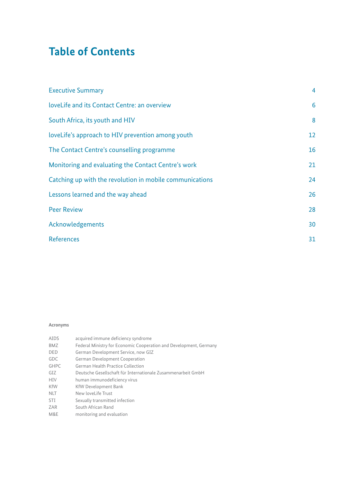# **Table of Contents**

| <b>Executive Summary</b>                                 | $\overline{4}$ |
|----------------------------------------------------------|----------------|
| loveLife and its Contact Centre: an overview             | 6              |
| South Africa, its youth and HIV                          | 8              |
| loveLife's approach to HIV prevention among youth        | 12             |
| The Contact Centre's counselling programme               | 16             |
| Monitoring and evaluating the Contact Centre's work      | 21             |
| Catching up with the revolution in mobile communications | 24             |
| Lessons learned and the way ahead                        | 26             |
| <b>Peer Review</b>                                       | 28             |
| Acknowledgements                                         | 30             |
| <b>References</b>                                        | 31             |

### **Acronyms**

| acquired immune deficiency syndrome                                |
|--------------------------------------------------------------------|
| Federal Ministry for Economic Cooperation and Development, Germany |
| German Development Service, now GIZ                                |
| <b>German Development Cooperation</b>                              |
| German Health Practice Collection                                  |
| Deutsche Gesellschaft für Internationale Zusammenarbeit GmbH       |
| human immunodeficiency virus                                       |
| <b>KfW Development Bank</b>                                        |
| New loveLife Trust                                                 |
| Sexually transmitted infection                                     |
| South African Rand                                                 |
| monitoring and evaluation                                          |
|                                                                    |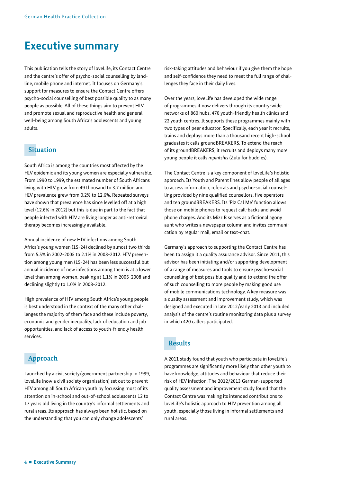# **Executive summary**

This publication tells the story of loveLife, its Contact Centre and the centre's offer of psycho-social counselling by landline, mobile phone and internet. It focuses on Germany's support for measures to ensure the Contact Centre offers psycho-social counselling of best possible quality to as many people as possible. All of these things aim to prevent HIV and promote sexual and reproductive health and general well-being among South Africa's adolescents and young adults.

## **Situation**

South Africa is among the countries most affected by the HIV epidemic and its young women are especially vulnerable. From 1990 to 1999, the estimated number of South Africans living with HIV grew from 49 thousand to 3.7 million and HIV prevalence grew from 0.2% to 12.6%. Repeated surveys have shown that prevalence has since levelled off at a high level (12.6% in 2012) but this is due in part to the fact that people infected with HIV are living longer as anti-retroviral therapy becomes increasingly available.

Annual incidence of new HIV infections among South Africa's young women (15-24) declined by almost two thirds from 5.5% in 2002-2005 to 2.1% in 2008-2012. HIV prevention among young men (15-24) has been less successful but annual incidence of new infections among them is at a lower level than among women, peaking at 1.1% in 2005-2008 and declining slightly to 1.0% in 2008-2012.

High prevalence of HIV among South Africa's young people is best understood in the context of the many other challenges the majority of them face and these include poverty, economic and gender inequality, lack of education and job opportunities, and lack of access to youth-friendly health services.

## **Approach**

Launched by a civil society/government partnership in 1999, loveLife (now a civil society organisation) set out to prevent HIV among all South African youth by focussing most of its attention on in-school and out-of-school adolescents 12 to 17 years old living in the country's informal settlements and rural areas. Its approach has always been holistic, based on the understanding that you can only change adolescents'

risk-taking attitudes and behaviour if you give them the hope and self-confidence they need to meet the full range of challenges they face in their daily lives.

Over the years, loveLife has developed the wide range of programmes it now delivers through its country-wide networks of 860 hubs, 470 youth-friendly health clinics and 22 youth centres. It supports these programmes mainly with two types of peer educator. Specifically, each year it recruits, trains and deploys more than a thousand recent high-school graduates it calls groundBREAKERS. To extend the reach of its groundBREAKERS, it recruits and deploys many more young people it calls *mpintshis* (Zulu for buddies).

The Contact Centre is a key component of loveLife's holistic approach. Its Youth and Parent lines allow people of all ages to access information, referrals and psycho-social counselling provided by nine qualified counsellors, five operators and ten groundBREAKERS. Its 'Plz Cal Me' function allows those on mobile phones to request call-backs and avoid phone charges. And its Mizz B serves as a fictional agony aunt who writes a newspaper column and invites communication by regular mail, email or text-chat.

Germany's approach to supporting the Contact Centre has been to assign it a quality assurance advisor. Since 2011, this advisor has been initiating and/or supporting development of a range of measures and tools to ensure psycho-social counselling of best possible quality and to extend the offer of such counselling to more people by making good use of mobile communications technology. A key measure was a quality assessment and improvement study, which was designed and executed in late 2012/early 2013 and included analysis of the centre's routine monitoring data plus a survey in which 420 callers participated.

## **Results**

A 2011 study found that youth who participate in loveLife's programmes are significantly more likely than other youth to have knowledge, attitudes and behaviour that reduce their risk of HIV infection. The 2012/2013 German-supported quality assessment and improvement study found that the Contact Centre was making its intended contributions to loveLife's holistic approach to HIV prevention among all youth, especially those living in informal settlements and rural areas.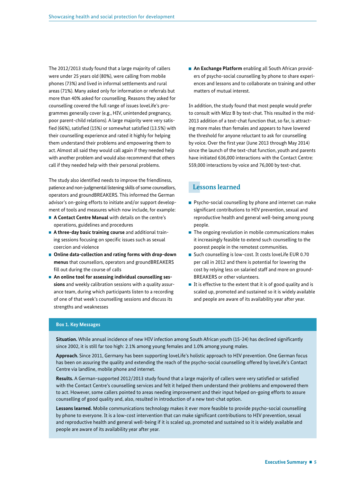The 2012/2013 study found that a large majority of callers were under 25 years old (80%), were calling from mobile phones (73%) and lived in informal settlements and rural areas (71%). Many asked only for information or referrals but more than 40% asked for counselling. Reasons they asked for counselling covered the full range of issues loveLife's programmes generally cover (e.g., HIV, unintended pregnancy, poor parent-child relations). A large majority were very satis fied (66%), satisfied (15%) or somewhat satisfied (13.5%) with their counselling experience and rated it highly for helping them understand their problems and empowering them to act. Almost all said they would call again if they needed help with another problem and would also recommend that others call if they needed help with their personal problems.

The study also identified needs to improve the friendliness, patience and non-judgmental listening skills of some counsellors, operators and groundBREAKERS. This informed the German advisor's on-going efforts to initiate and/or support development of tools and measures which now include, for example:

- **A Contact Centre Manual** with details on the centre's operations, guidelines and procedures
- **A three-day basic training course** and additional training sessions focusing on specific issues such as sexual coercion and violence
- Online data-collection and rating forms with drop-down **menus** that counsellors, operators and groundBREAKERS fill out during the course of calls
- An online tool for assessing individual counselling ses**sions** and weekly calibration sessions with a quality assurance team, during which participants listen to a recording of one of that week's counselling sessions and discuss its strengths and weaknesses

 **An Exchange Platform** enabling all South African providers of psycho-social counselling by phone to share experiences and lessons and to collaborate on training and other matters of mutual interest.

In addition, the study found that most people would prefer to consult with Mizz B by text-chat. This resulted in the mid-2013 addition of a text-chat function that, so far, is attracting more males than females and appears to have lowered the threshold for anyone reluctant to ask for counselling by voice. Over the first year (June 2013 through May 2014) since the launch of the text-chat function, youth and parents have initiated 636,000 interactions with the Contact Centre: 559,000 interactions by voice and 76,000 by text-chat.

## **Lessons learned**

- **Psycho-social counselling by phone and internet can make** significant contributions to HIV prevention, sexual and reproductive health and general well-being among young people.
- $\blacksquare$  The ongoing revolution in mobile communications makes it increasingly feasible to extend such counselling to the poorest people in the remotest communities.
- Such counselling is low-cost. It costs loveLife EUR 0.70 per call in 2012 and there is potential for lowering the cost by relying less on salaried staff and more on ground-BREAKERS or other volunteers.
- $\blacksquare$  It is effective to the extent that it is of good quality and is scaled up, promoted and sustained so it is widely available and people are aware of its availability year after year.

#### **Box 1. Key Messages**

Situation. While annual incidence of new HIV infection among South African youth (15-24) has declined significantly since 2002, it is still far too high: 2.1% among young females and 1.0% among young males.

**Approach.** Since 2011, Germany has been supporting loveLife's holistic approach to HIV prevention. One German focus has been on assuring the quality and extending the reach of the psycho-social counselling offered by loveLife's Contact Centre via landline, mobile phone and internet.

Results. A German-supported 2012/2013 study found that a large majority of callers were very satisfied or satisfied with the Contact Centre's counselling services and felt it helped them understand their problems and empowered them to act. However, some callers pointed to areas needing improvement and their input helped on-going efforts to assure counselling of good quality and, also, resulted in introduction of a new text-chat option.

**Lessons learned.** Mobile communications technology makes it ever more feasible to provide psycho-social counselling by phone to everyone. It is a low-cost intervention that can make significant contributions to HIV prevention, sexual and reproductive health and general well-being if it is scaled up, promoted and sustained so it is widely available and people are aware of its availability year after year.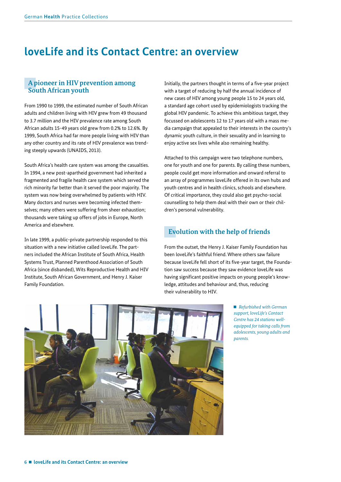# **loveLife and its Contact Centre: an overview**

### **A pioneer in HIV prevention among South African youth**

From 1990 to 1999, the estimated number of South African adults and children living with HIV grew from 49 thousand to 3.7 million and the HIV prevalence rate among South African adults 15-49 years old grew from 0.2% to 12.6%. By 1999, South Africa had far more people living with HIV than any other country and its rate of HIV prevalence was trending steeply upwards (UNAIDS, 2013).

South Africa's health care system was among the casualties. In 1994, a new post-apartheid government had inherited a fragmented and fragile health care system which served the rich minority far better than it served the poor majority. The system was now being overwhelmed by patients with HIV. Many doctors and nurses were becoming infected themselves; many others were suffering from sheer exhaustion; thousands were taking up offers of jobs in Europe, North America and elsewhere.

In late 1999, a public-private partnership responded to this situation with a new initiative called loveLife. The partners included the African Institute of South Africa, Health Systems Trust, Planned Parenthood Association of South Africa (since disbanded), Wits Reproductive Health and HIV Institute, South African Government, and Henry J. Kaiser Family Foundation.

Initially, the partners thought in terms of a five-year project with a target of reducing by half the annual incidence of new cases of HIV among young people 15 to 24 years old, a standard age cohort used by epidemiologists tracking the global HIV pandemic. To achieve this ambitious target, they focussed on adolescents 12 to 17 years old with a mass media campaign that appealed to their interests in the country's dynamic youth culture, in their sexuality and in learning to enjoy active sex lives while also remaining healthy.

Attached to this campaign were two telephone numbers, one for youth and one for parents. By calling these numbers, people could get more information and onward referral to an array of programmes loveLife offered in its own hubs and youth centres and in health clinics, schools and elsewhere. Of critical importance, they could also get psycho-social counselling to help them deal with their own or their children's personal vulnerability.

## **Evolution with the help of friends**

From the outset, the Henry J. Kaiser Family Foundation has been loveLife's faithful friend. Where others saw failure because loveLife fell short of its five-year target, the Foundation saw success because they saw evidence loveLife was having significant positive impacts on young people's knowledge, attitudes and behaviour and, thus, reducing their vulnerability to HIV.

> *Refurbished with German support, loveLife's Contact Centre has 24 stations wellequipped for taking calls from adolescents, young adults and parents.*

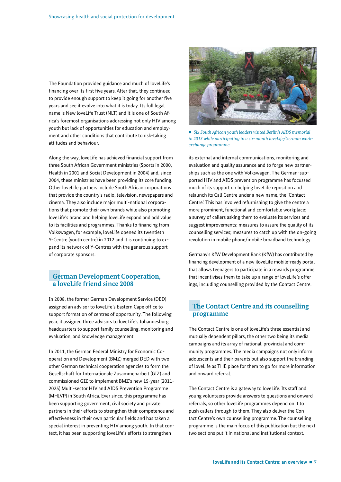The Foundation provided guidance and much of loveLife's financing over its first five years. After that, they continued to provide enough support to keep it going for another five years and see it evolve into what it is today. Its full legal name is New loveLife Trust (NLT) and it is one of South Africa's foremost organisations addressing not only HIV among youth but lack of opportunities for education and employment and other conditions that contribute to risk-taking attitudes and behaviour.

Along the way, loveLife has achieved financial support from three South African Government ministries (Sports in 2000, Health in 2001 and Social Development in 2004) and, since 2004, these ministries have been providing its core funding. Other loveLife partners include South African corporations that provide the country's radio, television, newspapers and cinema. They also include major multi-national corporations that promote their own brands while also promoting loveLife's brand and helping loveLife expand and add value to its facilities and programmes. Thanks to financing from Volkswagen, for example, loveLife opened its twentieth Y-Centre (youth centre) in 2012 and it is continuing to expand its network of Y-Centres with the generous support of corporate sponsors.

### **German Development Cooperation, a loveLife friend since 2008**

In 2008, the former German Development Service (DED) assigned an advisor to loveLife's Eastern Cape office to support formation of centres of opportunity. The following year, it assigned three advisors to loveLife's Johannesburg headquarters to support family counselling, monitoring and evaluation, and knowledge management.

In 2011, the German Federal Ministry for Economic Cooperation and Development (BMZ) merged DED with two other German technical cooperation agencies to form the Gesellschaft für Internationale Zusammenarbeit (GIZ) and commissioned GIZ to implement BMZ's new 15-year (2011- 2025) Multi-sector HIV and AIDS Prevention Programme (MHIVP) in South Africa. Ever since, this programme has been supporting government, civil society and private partners in their efforts to strengthen their competence and effectiveness in their own particular fields and has taken a special interest in preventing HIV among youth. In that context, it has been supporting loveLife's efforts to strengthen



■ *Six South African youth leaders visited Berlin's AIDS memorial in 2013 while participating in a six-month loveLife/German workexchange programme.* 

its external and internal communications, monitoring and evaluation and quality assurance and to forge new partnerships such as the one with Volkswagen. The German-supported HIV and AIDS prevention programme has focussed much of its support on helping loveLife reposition and relaunch its Call Centre under a new name, the ʻContact Centre'. This has involved refurnishing to give the centre a more prominent, functional and comfortable workplace; a survey of callers asking them to evaluate its services and suggest improvements; measures to assure the quality of its counselling services; measures to catch up with the on-going revolution in mobile phone/mobile broadband technology.

Germany's KfW Development Bank (KfW) has contributed by financing development of a new iloveLife mobile-ready portal that allows teenagers to participate in a rewards programme that incentivises them to take up a range of loveLife's offerings, including counselling provided by the Contact Centre.

## **The Contact Centre and its counselling programme**

The Contact Centre is one of loveLife's three essential and mutually dependent pillars, the other two being its media campaigns and its array of national, provincial and community programmes. The media campaigns not only inform adolescents and their parents but also support the branding of loveLife as THE place for them to go for more information and onward referral.

The Contact Centre is a gateway to loveLife. Its staff and young volunteers provide answers to questions and onward referrals, so other loveLife programmes depend on it to push callers through to them. They also deliver the Contact Centre's own counselling programme. The counselling programme is the main focus of this publication but the next two sections put it in national and institutional context.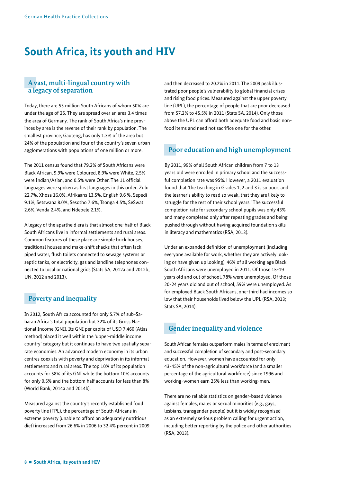# **South Africa, its youth and HIV**

## **A vast, multi-lingual country with a legacy of separation**

Today, there are 53 million South Africans of whom 50% are under the age of 25. They are spread over an area 3.4 times the area of Germany. The rank of South Africa's nine provinces by area is the reverse of their rank by population. The smallest province, Gauteng, has only 1.3% of the area but 24% of the population and four of the country's seven urban agglomerations with populations of one million or more.

The 2011 census found that 79.2% of South Africans were Black African, 9.9% were Coloured, 8.9% were White, 2.5% were Indian/Asian, and 0.5% were Other. The 11 official languages were spoken as first languages in this order: Zulu 22.7%, Xhosa 16.0%, Afrikaans 13.5%, English 9.6 %, Sepedi 9.1%, Setswana 8.0%, Sesotho 7.6%, Tsonga 4.5%, SeSwati 2.6%, Venda 2.4%, and Ndebele 2.1%.

A legacy of the apartheid era is that almost one-half of Black South Africans live in informal settlements and rural areas. Common features of these place are simple brick houses, traditional houses and make-shift shacks that often lack piped water, flush toilets connected to sewage systems or septic tanks, or electricity, gas and landline telephones connected to local or national grids (Stats SA, 2012a and 2012b; UN, 2012 and 2013).

## **Poverty and inequality**

In 2012, South Africa accounted for only 5.7% of sub-Saharan Africa's total population but 32% of its Gross National Income (GNI). Its GNI per capita of USD 7,460 (Atlas method) placed it well within the 'upper-middle income country' category but it continues to have two spatially separate economies. An advanced modern economy in its urban centres coexists with poverty and deprivation in its informal settlements and rural areas. The top 10% of its population accounts for 58% of its GNI while the bottom 10% accounts for only 0.5% and the bottom half accounts for less than 8% (World Bank, 2014a and 2014b).

Measured against the country's recently established food poverty line (FPL), the percentage of South Africans in extreme poverty (unable to afford an adequately nutritious diet) increased from 26.6% in 2006 to 32.4% percent in 2009 and then decreased to 20.2% in 2011. The 2009 peak illustrated poor people's vulnerability to global financial crises and rising food prices. Measured against the upper poverty line (UPL), the percentage of people that are poor decreased from 57.2% to 45.5% in 2011 (Stats SA, 2014). Only those above the UPL can afford both adequate food and basic nonfood items and need not sacrifice one for the other.

## **Poor education and high unemployment**

By 2011, 99% of all South African children from 7 to 13 years old were enrolled in primary school and the successful completion rate was 95%. However, a 2011 evaluation found that 'the teaching in Grades 1, 2 and 3 is so poor, and the learner's ability to read so weak, that they are likely to struggle for the rest of their school years.' The successful completion rate for secondary school pupils was only 43% and many completed only after repeating grades and being pushed through without having acquired foundation skills in literacy and mathematics (RSA, 2013).

Under an expanded definition of unemployment (including everyone available for work, whether they are actively looking or have given up looking), 46% of all working age Black South Africans were unemployed in 2011. Of those 15-19 years old and out of school, 78% were unemployed. Of those 20-24 years old and out of school, 59% were unemployed. As for employed Black South Africans, one-third had incomes so low that their households lived below the UPL (RSA, 2013; Stats SA, 2014).

## **Gender inequality and violence**

South African females outperform males in terms of enrolment and successful completion of secondary and post-secondary education. However, women have accounted for only 43-45% of the non-agricultural workforce (and a smaller percentage of the agricultural workforce) since 1996 and working-women earn 25% less than working-men.

There are no reliable statistics on gender-based violence against females, males or sexual minorities (e.g., gays, lesbians, transgender people) but it is widely recognised as an extremely serious problem calling for urgent action, including better reporting by the police and other authorities (RSA, 2013).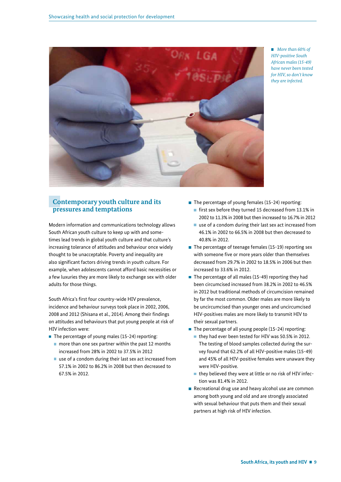

 *More than 60% of HIV-positive South African males (15-49) have never been tested for HIV, so don't know they are infected.* 

## **Contemporary youth culture and its pressures and temptations**

Modern information and communications technology allows South African youth culture to keep up with and sometimes lead trends in global youth culture and that culture's increasing tolerance of attitudes and behaviour once widely thought to be unacceptable. Poverty and inequality are also significant factors driving trends in youth culture. For example, when adolescents cannot afford basic necessities or a few luxuries they are more likely to exchange sex with older adults for those things.

South Africa's first four country-wide HIV prevalence, incidence and behaviour surveys took place in 2002, 2006, 2008 and 2012 (Shisana et al., 2014). Among their findings on attitudes and behaviours that put young people at risk of HIV infection were:

- $\blacksquare$  The percentage of young males (15-24) reporting:
	- $\blacksquare$  more than one sex partner within the past 12 months increased from 28% in 2002 to 37.5% in 2012
	- use of a condom during their last sex act increased from 57.1% in 2002 to 86.2% in 2008 but then decreased to 67.5% in 2012.
- The percentage of young females (15-24) reporting:  $\blacksquare$  first sex before they turned 15 decreased from 13.1% in
	- 2002 to 11.3% in 2008 but then increased to 16.7% in 2012
	- use of a condom during their last sex act increased from 46.1% in 2002 to 66.5% in 2008 but then decreased to 40.8% in 2012.
- $\blacksquare$  The percentage of teenage females (15-19) reporting sex with someone five or more vears older than themselves decreased from 29.7% in 2002 to 18.5% in 2006 but then increased to 33.6% in 2012.
- The percentage of all males (15-49) reporting they had been circumcised increased from 38.2% in 2002 to 46.5% in 2012 but traditional methods of circumcision remained by far the most common. Older males are more likely to be uncircumcised than younger ones and uncircumcised HIV-positives males are more likely to transmit HIV to their sexual partners.
- $\blacksquare$  The percentage of all young people (15-24) reporting:
	- they had ever been tested for HIV was 50.5% in 2012. The testing of blood samples collected during the survey found that 62.2% of all HIV-positive males (15-49) and 45% of all HIV-positive females were unaware they were HIV-positive.
	- $\blacksquare$  they believed they were at little or no risk of HIV infection was 81.4% in 2012.
- Recreational drug use and heavy alcohol use are common among both young and old and are strongly associated with sexual behaviour that puts them and their sexual partners at high risk of HIV infection.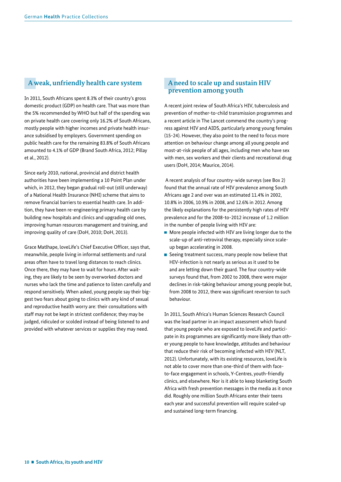## **A weak, unfriendly health care system**

In 2011, South Africans spent 8.3% of their country's gross domestic product (GDP) on health care. That was more than the 5% recommended by WHO but half of the spending was on private health care covering only 16.2% of South Africans, mostly people with higher incomes and private health insurance subsidised by employers. Government spending on public health care for the remaining 83.8% of South Africans amounted to 4.1% of GDP (Brand South Africa, 2012; Pillay et al., 2012).

Since early 2010, national, provincial and district health authorities have been implementing a 10 Point Plan under which, in 2012, they began gradual roll-out (still underway) of a National Health Insurance (NHI) scheme that aims to remove financial barriers to essential health care. In addition, they have been re-engineering primary health care by building new hospitals and clinics and upgrading old ones, improving human resources management and training, and improving quality of care (DoH, 2010; DoH, 2013).

Grace Matlhape, loveLife's Chief Executive Officer, says that, meanwhile, people living in informal settlements and rural areas often have to travel long distances to reach clinics. Once there, they may have to wait for hours. After waiting, they are likely to be seen by overworked doctors and nurses who lack the time and patience to listen carefully and respond sensitively. When asked, young people say their biggest two fears about going to clinics with any kind of sexual and reproductive health worry are: their consultations with staff may not be kept in strictest confidence; they may be judged, ridiculed or scolded instead of being listened to and provided with whatever services or supplies they may need.

## **A need to scale up and sustain HIV prevention among youth**

A recent joint review of South Africa's HIV, tuberculosis and prevention of mother-to-child transmission programmes and a recent article in The Lancet commend the country's progress against HIV and AIDS, particularly among young females (15-24). However, they also point to the need to focus more attention on behaviour change among all young people and most-at-risk people of all ages, including men who have sex with men, sex workers and their clients and recreational drug users (DoH, 2014; Maurice, 2014).

 A recent analysis of four country-wide surveys (see Box 2) found that the annual rate of HIV prevalence among South Africans age 2 and over was an estimated 11.4% in 2002, 10.8% in 2006, 10.9% in 2008, and 12.6% in 2012. Among the likely explanations for the persistently high rates of HIV prevalence and for the 2008-to-2012 increase of 1.2 million in the number of people living with HIV are:

- **More people infected with HIV are living longer due to the** scale-up of anti-retroviral therapy, especially since scaleup began accelerating in 2008.
- Seeing treatment success, many people now believe that HIV-infection is not nearly as serious as it used to be and are letting down their guard. The four country-wide surveys found that, from 2002 to 2008, there were major declines in risk-taking behaviour among young people but, from 2008 to 2012, there was significant reversion to such behaviour.

In 2011, South Africa's Human Sciences Research Council was the lead partner in an impact assessment which found that young people who are exposed to loveLife and participate in its programmes are significantly more likely than other young people to have knowledge, attitudes and behaviour that reduce their risk of becoming infected with HIV (NLT, 2012). Unfortunately, with its existing resources, loveLife is not able to cover more than one-third of them with faceto-face engagement in schools, Y-Centres, youth-friendly clinics, and elsewhere. Nor is it able to keep blanketing South Africa with fresh prevention messages in the media as it once did. Roughly one million South Africans enter their teens each year and successful prevention will require scaled-up and sustained long-term financing.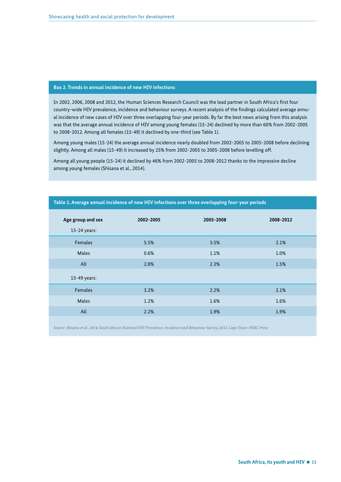#### **Box 2. Trends in annual incidence of new HIV infections**

In 2002, 2006, 2008 and 2012, the Human Sciences Research Council was the lead partner in South Africa's first four country-wide HIV prevalence, incidence and behaviour surveys. A recent analysis of the findings calculated average annual incidence of new cases of HIV over three overlapping four-year periods. By far the best news arising from this analysis was that the average annual incidence of HIV among young females (15-24) declined by more than 60% from 2002-2005 to 2008-2012. Among all females (15-49) it declined by one-third (see Table 1).

Among young males (15-24) the average annual incidence nearly doubled from 2002-2005 to 2005-2008 before declining slightly. Among all males (15-49) it increased by 25% from 2002-2005 to 2005-2008 before levelling off.

Among all young people (15-24) it declined by 46% from 2002-2005 to 2008-2012 thanks to the impressive decline among young females (Shisana et al., 2014).

| Age group and sex<br>15-24 years: | 2002-2005 | 2005-2008 | 2008-2012 |
|-----------------------------------|-----------|-----------|-----------|
| <b>Females</b>                    | 5.5%      | 3.5%      | 2.1%      |
| <b>Males</b>                      | 0.6%      | 1.1%      | 1.0%      |
| All                               | 2.8%      | 2.3%      | 1.5%      |
| 15-49 years:                      |           |           |           |
| <b>Females</b>                    | 3.2%      | 2.2%      | 2.1%      |
| <b>Males</b>                      | 1.2%      | 1.6%      | 1.6%      |
| All                               | 2.2%      | 1.9%      | 1.9%      |

#### **Table 1. Average annual incidence of new HIV infections over three overlapping four-year periods**

*Source: Shisana et al., 2014. South African National HIV Prevalence, Incidence and Behaviour Survey, 2012. Cape Town: HSRC Press.*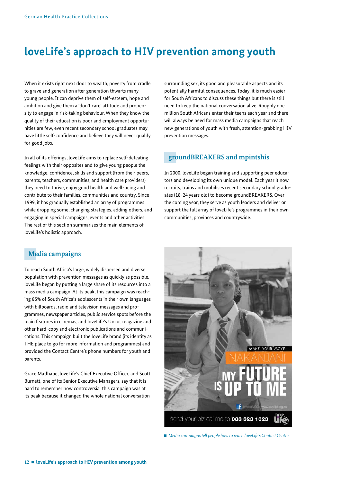# **loveLife's approach to HIV prevention among youth**

When it exists right next door to wealth, poverty from cradle to grave and generation after generation thwarts many young people. It can deprive them of self-esteem, hope and ambition and give them a 'don't care' attitude and propensity to engage in risk-taking behaviour. When they know the quality of their education is poor and employment opportunities are few, even recent secondary school graduates may have little self-confidence and believe they will never qualify for good jobs.

In all of its offerings, loveLife aims to replace self-defeating feelings with their opposites and to give young people the knowledge, confidence, skills and support (from their peers, parents, teachers, communities, and health care providers) they need to thrive, enjoy good health and well-being and contribute to their families, communities and country. Since 1999, it has gradually established an array of programmes while dropping some, changing strategies, adding others, and engaging in special campaigns, events and other activities. The rest of this section summarises the main elements of loveLife's holistic approach.

### surrounding sex, its good and pleasurable aspects and its potentially harmful consequences. Today, it is much easier for South Africans to discuss these things but there is still need to keep the national conversation alive. Roughly one million South Africans enter their teens each year and there will always be need for mass media campaigns that reach new generations of youth with fresh, attention-grabbing HIV prevention messages.

## **groundBREAKERS and mpintshis**

In 2000, loveLife began training and supporting peer educators and developing its own unique model. Each year it now recruits, trains and mobilises recent secondary school graduates (18-24 years old) to become groundBREAKERS. Over the coming year, they serve as youth leaders and deliver or support the full array of loveLife's programmes in their own communities, provinces and countrywide.

## **Media campaigns**

To reach South Africa's large, widely dispersed and diverse population with prevention messages as quickly as possible, loveLife began by putting a large share of its resources into a mass media campaign. At its peak, this campaign was reaching 85% of South Africa's adolescents in their own languages with billboards, radio and television messages and programmes, newspaper articles, public service spots before the main features in cinemas, and loveLife's Uncut magazine and other hard-copy and electronic publications and communications. This campaign built the loveLife brand (its identity as THE place to go for more information and programmes) and provided the Contact Centre's phone numbers for youth and parents.

Grace Matlhape, loveLife's Chief Executive Officer, and Scott Burnett, one of its Senior Executive Managers, say that it is hard to remember how controversial this campaign was at its peak because it changed the whole national conversation



*Media campaigns tell people how to reach loveLife's Contact Centre.*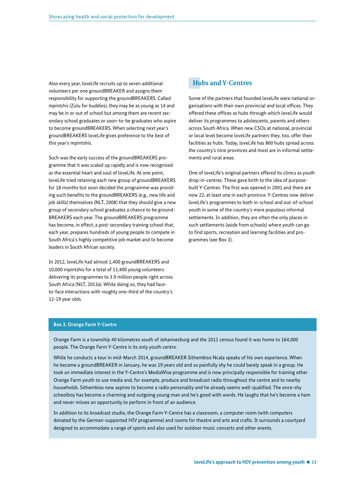Also every year, loveLife recruits up to seven additional volunteers per one groundBREAKER and assigns them responsibility for supporting the groundBREAKERS. Called *mpintshis* (Zulu for buddies), they may be as young as 14 and may be in or out of school but among them are recent secondary school graduates or soon-to-be graduates who aspire to become groundBREAKERS. When selecting next year's groundBREAKERS loveLife gives preference to the best of this year's mpintshis.

Such was the early success of the groundBREAKERS programme that it was scaled up rapidly and is now recognised as the essential heart and soul of loveLife. At one point, loveLife tried retaining each new group of groundBREAKERS for 18 months but soon decided the programme was providing such benefits to the groundBREAKERS (e.g., new life and job skills) themselves (NLT, 2008) that they should give a new group of secondary school graduates a chance to be ground-BREAKERS each year. The groundBREAKERS programme has become, in effect, a post-secondary training school that, each year, prepares hundreds of young people to compete in South Africa's highly competitive job market and to become leaders in South African society.

In 2012, loveLife had almost 1,400 groundBREAKERS and 10,000 mpintshis for a total of 11,400 young volunteers delivering its programmes to 3.9 million people right across South Africa (NLT, 2013a). While doing so, they had faceto-face interactions with roughly one-third of the country's 12-19 year olds.

## **Hubs and Y-Centres**

Some of the partners that founded loveLife were national organisations with their own provincial and local offices. They offered these offices as hubs through which loveLife would deliver its programmes to adolescents, parents and others across South Africa. When new CSOs at national, provincial or local level become loveLife partners they, too, offer their facilities as hubs. Today, loveLife has 860 hubs spread across the country's nine provinces and most are in informal settlements and rural areas.

One of loveLife's original partners offered its clinics as youth drop-in-centres. These gave birth to the idea of purposebuilt Y-Centres. The first was opened in 2001 and there are now 22, at least one in each province. Y-Centres now deliver loveLife's programmes to both in-school and out-of-school youth in some of the country's more populous informal settlements. In addition, they are often the only places in such settlements (aside from schools) where youth can go to find sports, recreation and learning facilities and programmes (see Box 3).

#### **Box 3. Orange Farm Y-Centre**

Orange Farm is a township 40 kilometres south of Johannesburg and the 2011 census found it was home to 164,000 people. The Orange Farm Y-Centre is its only youth centre.

While he conducts a tour in mid-March 2014, groundBREAKER Sithembiso Ncala speaks of his own experience. When he became a groundBREAKER in January, he was 19 years old and so painfully shy he could barely speak in a group. He took an immediate interest in the Y-Centre's MediaWise programme and is now principally responsible for training other Orange Farm youth to use media and, for example, produce and broadcast radio throughout the centre and to nearby households. Sithembiso now aspires to become a radio personality and he already seems well-qualified. The once-shy schoolboy has become a charming and outgoing young man and he's good with words. He laughs that he's become a ham and never misses an opportunity to perform in front of an audience.

In addition to its broadcast studio, the Orange Farm Y-Centre has a classroom, a computer room (with computers donated by the German-supported HIV programme) and rooms for theatre and arts and crafts. It surrounds a courtyard designed to accommodate a range of sports and also used for outdoor music concerts and other events.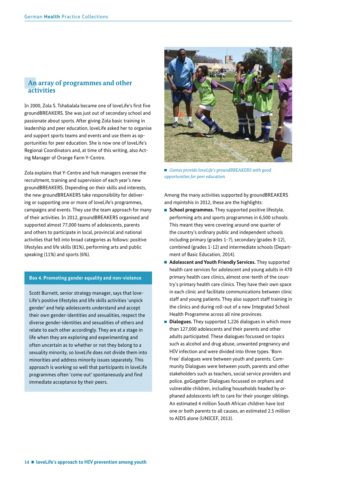### **An array of programmes and other activities**

In 2000, Zola S. Tshabalala became one of loveLife's first five groundBREAKERS. She was just out of secondary school and passionate about sports. After giving Zola basic training in leadership and peer education, loveLife asked her to organise and support sports teams and events and use them as opportunities for peer education. She is now one of loveLife's Regional Coordinators and, at time of this writing, also Acting Manager of Orange Farm Y-Centre.

Zola explains that Y-Centre and hub managers oversee the recruitment, training and supervision of each year's new groundBREAKERS. Depending on their skills and interests, the new groundBREAKERS take responsibility for delivering or supporting one or more of loveLife's programmes, campaigns and events. They use the team approach for many of their activities. In 2012, groundBREAKERS organised and supported almost 77,000 teams of adolescents, parents and others to participate in local, provincial and national activities that fell into broad categories as follows: positive lifestyles and life skills (81%), performing arts and public speaking (11%) and sports (6%).

### **Box 4. Promoting gender equality and non-violence**

Scott Burnett, senior strategy manager, says that love-Life's positive lifestyles and life skills activities 'unpick gender' and help adolescents understand and accept their own gender-identities and sexualities, respect the diverse gender-identities and sexualities of others and relate to each other accordingly. They are at a stage in life when they are exploring and experimenting and often uncertain as to whether or not they belong to a sexuality minority, so loveLife does not divide them into minorities and address minority issues separately. This approach is working so well that participants in loveLife programmes often 'come out' spontaneously and find immediate acceptance by their peers.



■ *Games provide loveLife's groundBREAKERS with good opportunities for peer education.* 

Among the many activities supported by groundBREAKERS and mpintshis in 2012, these are the highlights:

- **School programmes.** They supported positive lifestyle, performing arts and sports programmes in 6,500 schools. This meant they were covering around one quarter of the country's ordinary public and independent schools including primary (grades 1-7), secondary (grades 8-12), combined (grades 1-12) and intermediate schools (Department of Basic Education, 2014).
- **Adolescent and Youth Friendly Services.** They supported health care services for adolescent and young adults in 470 primary health care clinics, almost one-tenth of the country's primary health care clinics. They have their own space in each clinic and facilitate communications between clinic staff and young patients. They also support staff training in the clinics and during roll-out of a new Integrated School Health Programme across all nine provinces.
- **Dialogues.** They supported 1,226 dialogues in which more than 127,000 adolescents and their parents and other adults participated. These dialogues focussed on topics such as alcohol and drug abuse, unwanted pregnancy and HIV infection and were divided into three types. 'Born Free' dialogues were between youth and parents. Community Dialogues were between youth, parents and other stakeholders such as teachers, social service providers and police. goGogetter Dialogues focussed on orphans and vulnerable children, including households headed by orphaned adolescents left to care for their younger siblings. An estimated 4 million South African children have lost one or both parents to all causes, an estimated 2.5 million to AIDS alone (UNICEF, 2013).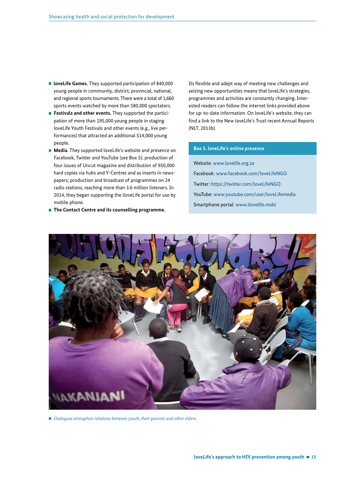- **In loveLife Games.** They supported participation of 840,000 young people in community, district, provincial, national, and regional sports tournaments. There were a total of 1,660 sports events watched by more than 580,000 spectators.
- **Festivals and other events.** They supported the participation of more than 195,000 young people in staging loveLife Youth Festivals and other events (e.g., live performances) that attracted an additional 514,000 young people.
- **Media.** They supported loveLife's website and presence on Facebook, Twitter and YouTube (see Box 5); production of four issues of Uncut magazine and distribution of 950,000 hard copies via hubs and Y-Centres and as inserts in newspapers; production and broadcast of programmes on 24 radio stations, reaching more than 3.6 million listeners. In 2014, they began supporting the iloveLife portal for use by mobile phone.
- **The Contact Centre and its counselling programme.**

Its flexible and adept way of meeting new challenges and seizing new opportunities means that loveLife's strategies, programmes and activities are constantly changing. Interested readers can follow the internet links provided above for up-to-date information. On loveLife's website, they can find a link to the New loveLife's Trust recent Annual Reports (NLT, 2013b).

#### **Box 5. loveLife's online presence**

Website: www.lovelife.org.za Facebook: www.facebook.com/loveLifeNGO Twitter: https://twitter.com/loveLifeNGO YouTube: www.youtube.com/user/loveLifemedia Smartphone portal: www.ilovelife.mobi



*Dialogues strengthen relations between youth, their parents and other elders.*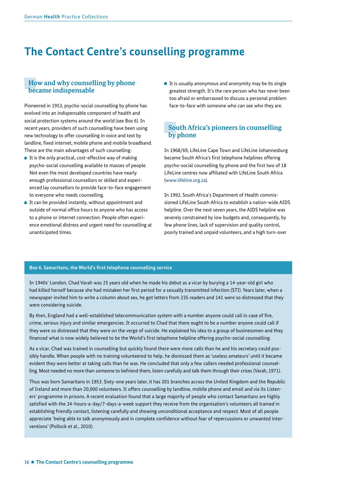# **The Contact Centre's counselling programme**

### **How and why counselling by phone became indispensable**

Pioneered in 1953, psycho-social counselling by phone has evolved into an indispensable component of health and social protection systems around the world (see Box 6). In recent years, providers of such counselling have been using new technology to offer counselling in voice and text by landline, fixed internet, mobile phone and mobile broadband. These are the main advantages of such counselling:

- $\blacksquare$  It is the only practical, cost-effective way of making psycho-social counselling available to masses of people. Not even the most developed countries have nearly enough professional counsellors or skilled and experienced lay counsellors to provide face-to-face engagement to everyone who needs counselling.
- $\blacksquare$  It can be provided instantly, without appointment and outside of normal office hours to anyone who has access to a phone or internet connection. People often experience emotional distress and urgent need for counselling at unanticipated times.

It is usually anonymous and anonymity may be its single greatest strength. It's the rare person who has never been too afraid or embarrassed to discuss a personal problem face-to-face with someone who can see who they are.

## **South Africa's pioneers in counselling by phone**

In 1968/69, LifeLine Cape Town and LifeLine Johannesburg became South Africa's first telephone helplines offering psycho-social counselling by phone and the first two of 18 LifeLine centres now affiliated with LifeLine South Africa (www.lifeline.org.za).

In 1992, South Africa's Department of Health commissioned LifeLine South Africa to establish a nation-wide AIDS helpline. Over the next seven years, the AIDS helpline was severely constrained by low budgets and, consequently, by few phone lines, lack of supervision and quality control, poorly trained and unpaid volunteers, and a high turn-over

#### **Box 6. Samaritans, the World's !rst telephone counselling service**

In 1940s' London, Chad Varah was 25 years old when he made his debut as a vicar by burying a 14-year-old girl who had killed herself because she had mistaken her first period for a sexually transmitted infection (STI). Years later, when a newspaper invited him to write a column about sex, he got letters from 235 readers and 141 were so distressed that they were considering suicide.

By then, England had a well-established telecommunication system with a number anyone could call in case of fire, crime, serious injury and similar emergencies. It occurred to Chad that there ought to be a number anyone could call if they were so distressed that they were on the verge of suicide. He explained his idea to a group of businessmen and they financed what is now widely believed to be the World's first telephone helpline offering psycho-social counselling.

As a vicar, Chad was trained in counselling but quickly found there were more calls than he and his secretary could possibly handle. When people with no training volunteered to help, he dismissed them as 'useless amateurs' until it became evident they were better at taking calls than he was. He concluded that only a few callers needed professional counselling. Most needed no more than someone to befriend them, listen carefully and talk them through their crises (Varah, 1971).

Thus was born Samaritans in 1953. Sixty-one years later, it has 201 branches across the United Kingdom and the Republic of Ireland and more than 20,000 volunteers. It offers counselling by landline, mobile phone and email and via its Listeners' programme in prisons. A recent evaluation found that a large majority of people who contact Samaritans are highly satisfied with the 24-hours-a-day/7-days-a-week support they receive from the organisation's volunteers all trained in establishing friendly contact, listening carefully and showing unconditional acceptance and respect. Most of all people appreciate 'being able to talk anonymously and in complete confidence without fear of repercussions or unwanted interventions' (Pollock et al., 2010).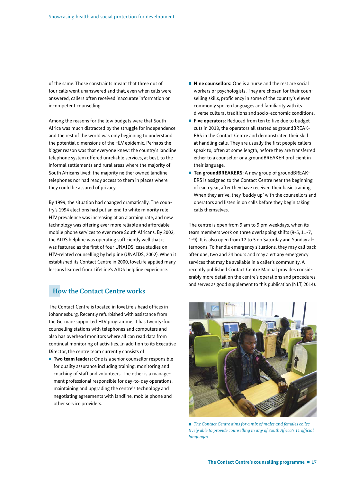of the same. Those constraints meant that three out of four calls went unanswered and that, even when calls were answered, callers often received inaccurate information or incompetent counselling.

Among the reasons for the low budgets were that South Africa was much distracted by the struggle for independence and the rest of the world was only beginning to understand the potential dimensions of the HIV epidemic. Perhaps the bigger reason was that everyone knew: the country's landline telephone system offered unreliable services, at best, to the informal settlements and rural areas where the majority of South Africans lived; the majority neither owned landline telephones nor had ready access to them in places where they could be assured of privacy.

By 1999, the situation had changed dramatically. The country's 1994 elections had put an end to white minority rule, HIV prevalence was increasing at an alarming rate, and new technology was offering ever more reliable and affordable mobile phone services to ever more South Africans. By 2002, the AIDS helpline was operating sufficiently well that it was featured as the first of four UNAIDS' case studies on HIV-related counselling by helpline (UNAIDS, 2002). When it established its Contact Centre in 2000, loveLife applied many lessons learned from LifeLine's AIDS helpline experience.

## **How the Contact Centre works**

The Contact Centre is located in loveLife's head offices in Johannesburg. Recently refurbished with assistance from the German-supported HIV programme, it has twenty-four counselling stations with telephones and computers and also has overhead monitors where all can read data from continual monitoring of activities. In addition to its Executive Director, the centre team currently consists of:

**Two team leaders:** One is a senior counsellor responsible for quality assurance including training, monitoring and coaching of staff and volunteers. The other is a management professional responsible for day-to-day operations, maintaining and upgrading the centre's technology and negotiating agreements with landline, mobile phone and other service providers.

- **Nine counsellors:** One is a nurse and the rest are social workers or psychologists. They are chosen for their counselling skills, proficiency in some of the country's eleven commonly spoken languages and familiarity with its diverse cultural traditions and socio-economic conditions.
- **Five operators:** Reduced from ten to five due to budget cuts in 2013, the operators all started as groundBREAK-ERS in the Contact Centre and demonstrated their skill at handling calls. They are usually the first people callers speak to, often at some length, before they are transferred either to a counsellor or a groundBREAKER proficient in their language.
- **Ten groundBREAKERS:** A new group of groundBREAK-ERS is assigned to the Contact Centre near the beginning of each year, after they have received their basic training. When they arrive, they 'buddy up' with the counsellors and operators and listen in on calls before they begin taking calls themselves.

The centre is open from 9 am to 9 pm weekdays, when its team members work on three overlapping shifts (9-5, 11-7, 1-9). It is also open from 12 to 5 on Saturday and Sunday afternoons. To handle emergency situations, they may call back after one, two and 24 hours and may alert any emergency services that may be available in a caller's community. A recently published Contact Centre Manual provides considerably more detail on the centre's operations and procedures and serves as good supplement to this publication (NLT, 2014).



■ *The Contact Centre aims for a mix of males and females collectively able to provide counselling in any of South Africa's 11 of!cial languages.*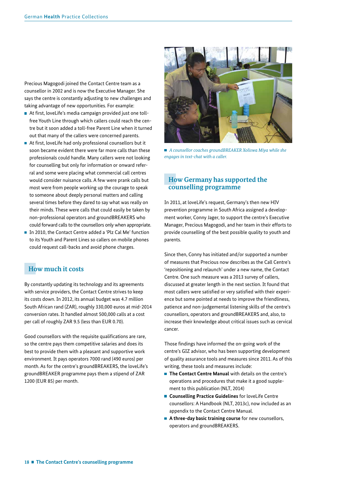Precious Magogodi joined the Contact Centre team as a counsellor in 2002 and is now the Executive Manager. She says the centre is constantly adjusting to new challenges and taking advantage of new opportunities. For example:

- $\blacksquare$  At first, loveLife's media campaign provided just one tollfree Youth Line through which callers could reach the centre but it soon added a toll-free Parent Line when it turned out that many of the callers were concerned parents.
- $\blacksquare$  At first, loveLife had only professional counsellors but it soon became evident there were far more calls than these professionals could handle. Many callers were not looking for counselling but only for information or onward referral and some were placing what commercial call centres would consider nuisance calls. A few were prank calls but most were from people working up the courage to speak to someone about deeply personal matters and calling several times before they dared to say what was really on their minds. These were calls that could easily be taken by non-professional operators and groundBREAKERS who could forward calls to the counsellors only when appropriate.
- In 2010, the Contact Centre added a 'Plz Cal Me' function to its Youth and Parent Lines so callers on mobile phones could request call-backs and avoid phone charges.

### **How much it costs**

By constantly updating its technology and its agreements with service providers, the Contact Centre strives to keep its costs down. In 2012, its annual budget was 4.7 million South African rand (ZAR), roughly 330,000 euros at mid-2014 conversion rates. It handled almost 500,000 calls at a cost per call of roughly ZAR 9.5 (less than EUR 0.70).

Good counsellors with the requisite qualifications are rare, so the centre pays them competitive salaries and does its best to provide them with a pleasant and supportive work environment. It pays operators 7000 rand (490 euros) per month. As for the centre's groundBREAKERS, the loveLife's groundBREAKER programme pays them a stipend of ZAR 1200 (EUR 85) per month.



 *A counsellor coaches groundBREAKER Xoliswa Miya while she engages in text-chat with a caller.*

## **How Germany has supported the counselling programme**

In 2011, at loveLife's request, Germany's then new HIV prevention programme in South Africa assigned a development worker, Conny Jager, to support the centre's Executive Manager, Precious Magogodi, and her team in their efforts to provide counselling of the best possible quality to youth and parents.

Since then, Conny has initiated and/or supported a number of measures that Precious now describes as the Call Centre's 'repositioning and relaunch' under a new name, the Contact Centre. One such measure was a 2013 survey of callers, discussed at greater length in the next section. It found that most callers were satisfied or very satisfied with their experience but some pointed at needs to improve the friendliness, patience and non-judgemental listening skills of the centre's counsellors, operators and groundBREAKERS and, also, to increase their knowledge about critical issues such as cervical cancer.

Those findings have informed the on-going work of the centre's GIZ advisor, who has been supporting development of quality assurance tools and measures since 2011. As of this writing, these tools and measures include:

- The Contact Centre Manual with details on the centre's operations and procedures that make it a good supplement to this publication (NLT, 2014)
- **Counselling Practice Guidelines** for loveLife Centre counsellors: A Handbook (NLT, 2013c), now included as an appendix to the Contact Centre Manual.
- **A three-day basic training course** for new counsellors, operators and groundBREAKERS.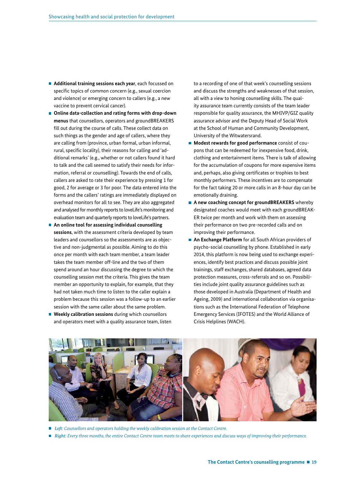- **Additional training sessions each year**, each focussed on specific topics of common concern (e.g., sexual coercion and violence) or emerging concern to callers (e.g., a new vaccine to prevent cervical cancer).
- Online data-collection and rating forms with drop-down **menus** that counsellors, operators and groundBREAKERS fill out during the course of calls. These collect data on such things as the gender and age of callers, where they are calling from (province, urban formal, urban informal, rural, specific locality), their reasons for calling and 'additional remarks' (e.g., whether or not callers found it hard to talk and the call seemed to satisfy their needs for information, referral or counselling). Towards the end of calls, callers are asked to rate their experience by pressing 1 for good, 2 for average or 3 for poor. The data entered into the forms and the callers' ratings are immediately displayed on overhead monitors for all to see. They are also aggregated and analysed for monthly reports to loveLife's monitoring and evaluation team and quarterly reports to loveLife's partners.
- **An online tool for assessing individual counselling sessions**, with the assessment criteria developed by team leaders and counsellors so the assessments are as objective and non-judgmental as possible. Aiming to do this once per month with each team member, a team leader takes the team member off-line and the two of them spend around an hour discussing the degree to which the counselling session met the criteria. This gives the team member an opportunity to explain, for example, that they had not taken much time to listen to the caller explain a problem because this session was a follow-up to an earlier session with the same caller about the same problem.
- **Weekly calibration sessions** during which counsellors and operators meet with a quality assurance team, listen

to a recording of one of that week's counselling sessions and discuss the strengths and weaknesses of that session, all with a view to honing counselling skills. The quality assurance team currently consists of the team leader responsible for quality assurance, the MHIVP/GIZ quality assurance advisor and the Deputy Head of Social Work at the School of Human and Community Development, University of the Witwatersrand.

- **Modest rewards for good performance** consist of coupons that can be redeemed for inexpensive food, drink, clothing and entertainment items. There is talk of allowing for the accumulation of coupons for more expensive items and, perhaps, also giving certificates or trophies to best monthly performers. These incentives are to compensate for the fact taking 20 or more calls in an 8-hour day can be emotionally draining.
- A new coaching concept for groundBREAKERS whereby designated coaches would meet with each groundBREAK-ER twice per month and work with them on assessing their performance on two pre-recorded calls and on improving their performance.
- **An Exchange Platform** for all South African providers of psycho-social counselling by phone. Established in early 2014, this platform is now being used to exchange experiences, identify best practices and discuss possible joint trainings, staff exchanges, shared databases, agreed data protection measures, cross-referrals and so on. Possibilities include joint quality assurance guidelines such as those developed in Australia (Department of Health and Ageing, 2009) and international collaboration via organisations such as the International Federation of Telephone Emergency Services (IFOTES) and the World Alliance of Crisis Helplines (WACH).



- Left: Counsellors and operators holding the weekly calibration session at the Contact Centre.
- *Right: Every three months, the entire Contact Centre team meets to share experiences and discuss ways of improving their performance.*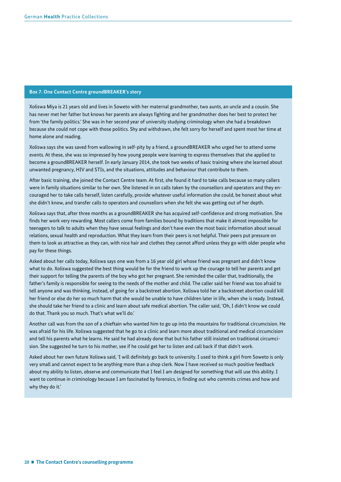#### **Box 7. One Contact Centre groundBREAKER's story**

Xoliswa Miya is 21 years old and lives in Soweto with her maternal grandmother, two aunts, an uncle and a cousin. She has never met her father but knows her parents are always fighting and her grandmother does her best to protect her from 'the family politics.' She was in her second year of university studying criminology when she had a breakdown because she could not cope with those politics. Shy and withdrawn, she felt sorry for herself and spent most her time at home alone and reading.

Xoliswa says she was saved from wallowing in self-pity by a friend, a groundBREAKER who urged her to attend some events. At these, she was so impressed by how young people were learning to express themselves that she applied to become a groundBREAKER herself. In early January 2014, she took two weeks of basic training where she learned about unwanted pregnancy, HIV and STIs, and the situations, attitudes and behaviour that contribute to them.

After basic training, she joined the Contact Centre team. At first, she found it hard to take calls because so many callers were in family situations similar to her own. She listened in on calls taken by the counsellors and operators and they encouraged her to take calls herself, listen carefully, provide whatever useful information she could, be honest about what she didn't know, and transfer calls to operators and counsellors when she felt she was getting out of her depth.

Xoliswa says that, after three months as a groundBREAKER she has acquired self-confidence and strong motivation. She finds her work very rewarding. Most callers come from families bound by traditions that make it almost impossible for teenagers to talk to adults when they have sexual feelings and don't have even the most basic information about sexual relations, sexual health and reproduction. What they learn from their peers is not helpful. Their peers put pressure on them to look as attractive as they can, with nice hair and clothes they cannot afford unless they go with older people who pay for these things.

Asked about her calls today, Xoliswa says one was from a 16 year old girl whose friend was pregnant and didn't know what to do. Xoliswa suggested the best thing would be for the friend to work up the courage to tell her parents and get their support for telling the parents of the boy who got her pregnant. She reminded the caller that, traditionally, the father's family is responsible for seeing to the needs of the mother and child. The caller said her friend was too afraid to tell anyone and was thinking, instead, of going for a backstreet abortion. Xoliswa told her a backstreet abortion could kill her friend or else do her so much harm that she would be unable to have children later in life, when she is ready. Instead, she should take her friend to a clinic and learn about safe medical abortion. The caller said, 'Oh, I didn't know we could do that. Thank you so much. That's what we'll do.'

Another call was from the son of a chieftain who wanted him to go up into the mountains for traditional circumcision. He was afraid for his life. Xoliswa suggested that he go to a clinic and learn more about traditional and medical circumcision and tell his parents what he learns. He said he had already done that but his father still insisted on traditional circumcision. She suggested he turn to his mother, see if he could get her to listen and call back if that didn't work.

Asked about her own future Xoliswa said, 'I will definitely go back to university. I used to think a girl from Soweto is only very small and cannot expect to be anything more than a shop clerk. Now I have received so much positive feedback about my ability to listen, observe and communicate that I feel I am designed for something that will use this ability. I want to continue in criminology because I am fascinated by forensics, in finding out who commits crimes and how and why they do it.'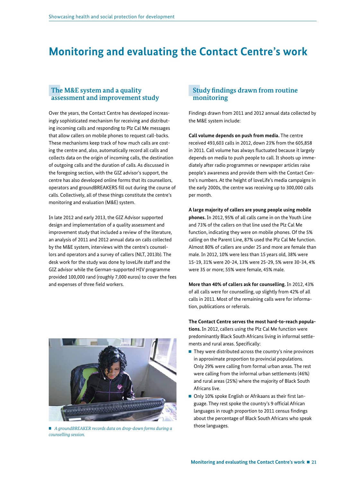# **Monitoring and evaluating the Contact Centre's work**

### **The M&E system and a quality assessment and improvement study**

Over the years, the Contact Centre has developed increasingly sophisticated mechanism for receiving and distributing incoming calls and responding to Plz Cal Me messages that allow callers on mobile phones to request call-backs. These mechanisms keep track of how much calls are costing the centre and, also, automatically record all calls and collects data on the origin of incoming calls, the destination of outgoing calls and the duration of calls. As discussed in the foregoing section, with the GIZ advisor's support, the centre has also developed online forms that its counsellors, operators and groundBREAKERS fill out during the course of calls. Collectively, all of these things constitute the centre's monitoring and evaluation (M&E) system.

In late 2012 and early 2013, the GIZ Advisor supported design and implementation of a quality assessment and improvement study that included a review of the literature, an analysis of 2011 and 2012 annual data on calls collected by the M&E system, interviews with the centre's counsellors and operators and a survey of callers (NLT, 2013b). The desk work for the study was done by loveLife staff and the GIZ advisor while the German-supported HIV programme provided 100,000 rand (roughly 7,000 euros) to cover the fees and expenses of three field workers.

### **Study findings drawn from routine monitoring**

Findings drawn from 2011 and 2012 annual data collected by the M&E system include:

**Call volume depends on push from media.** The centre received 493,603 calls in 2012, down 23% from the 605,858 in 2011. Call volume has always fluctuated because it largely depends on media to push people to call. It shoots up immediately after radio programmes or newspaper articles raise people's awareness and provide them with the Contact Centre's numbers. At the height of loveLife's media campaigns in the early 2000s, the centre was receiving up to 300,000 calls per month.

#### **A large majority of callers are young people using mobile**

**phones.** In 2012, 95% of all calls came in on the Youth Line and 73% of the callers on that line used the Plz Cal Me function, indicating they were on mobile phones. Of the 5% calling on the Parent Line, 87% used the Plz Cal Me function. Almost 80% of callers are under 25 and more are female than male. In 2012, 10% were less than 15 years old, 38% were 15-19, 31% were 20-24, 13% were 25-29, 5% were 30-34, 4% were 35 or more; 55% were female, 45% male.

**More than 40% of callers ask for counselling.** In 2012, 43% of all calls were for counselling, up slightly from 42% of all calls in 2011. Most of the remaining calls were for information, publications or referrals.

### **The Contact Centre serves the most hard-to-reach populations.** In 2012, callers using the Plz Cal Me function were predominantly Black South Africans living in informal settlements and rural areas. Specifically:

- $\blacksquare$  They were distributed across the country's nine provinces in approximate proportion to provincial populations. Only 29% were calling from formal urban areas. The rest were calling from the informal urban settlements (46%) and rural areas (25%) where the majority of Black South Africans live.
- $\blacksquare$  Only 10% spoke English or Afrikaans as their first language. They rest spoke the country's 9 official African languages in rough proportion to 2011 census findings about the percentage of Black South Africans who speak those languages.



 *A groundBREAKER records data on drop-down forms during a counselling session.*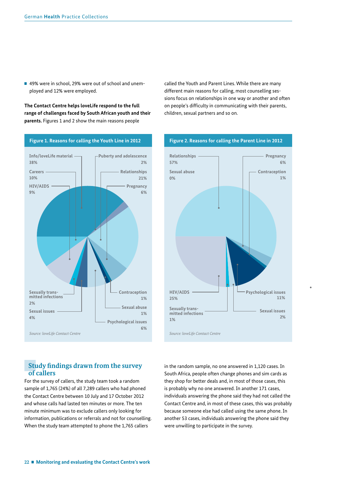■ 49% were in school, 29% were out of school and unemployed and 12% were employed.

**The Contact Centre helps loveLife respond to the full range of challenges faced by South African youth and their parents.** Figures 1 and 2 show the main reasons people



called the Youth and Parent Lines. While there are many different main reasons for calling, most counselling sessions focus on relationships in one way or another and often on people's difficulty in communicating with their parents, children, sexual partners and so on.



## **Study !ndings drawn from the survey of callers**

For the survey of callers, the study team took a random sample of 1,765 (24%) of all 7,289 callers who had phoned the Contact Centre between 10 July and 17 October 2012 and whose calls had lasted ten minutes or more. The ten minute minimum was to exclude callers only looking for information, publications or referrals and not for counselling. When the study team attempted to phone the 1,765 callers

in the random sample, no one answered in 1,120 cases. In South Africa, people often change phones and sim cards as they shop for better deals and, in most of those cases, this is probably why no one answered. In another 171 cases, individuals answering the phone said they had not called the Contact Centre and, in most of these cases, this was probably because someone else had called using the same phone. In another 53 cases, individuals answering the phone said they were unwilling to participate in the survey.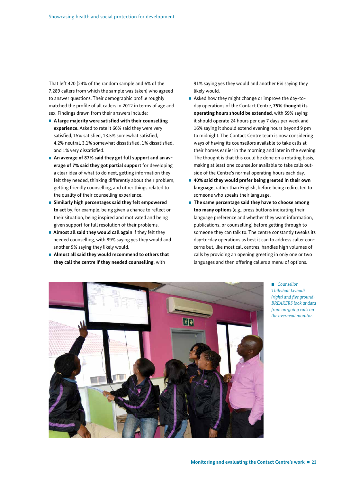That left 420 (24% of the random sample and 6% of the 7,289 callers from which the sample was taken) who agreed to answer questions. Their demographic profile roughly matched the profile of all callers in 2012 in terms of age and sex. Findings drawn from their answers include:

- **A** large majority were satisfied with their counselling **experience.** Asked to rate it 66% said they were very satisfied, 15% satisfied, 13.5% somewhat satisfied, 4.2% neutral, 3.1% somewhat dissatisfied, 1% dissatisfied, and 1% very dissatisfied.
- **An average of 87% said they got full support and an average of 7% said they got partial support** for developing a clear idea of what to do next, getting information they felt they needed, thinking differently about their problem, getting friendly counselling, and other things related to the quality of their counselling experience.
- **Similarly high percentages said they felt empowered to act** by, for example, being given a chance to reflect on their situation, being inspired and motivated and being given support for full resolution of their problems.
- **Almost all said they would call again** if they felt they needed counselling, with 89% saying yes they would and another 9% saying they likely would.
- **Almost all said they would recommend to others that they call the centre if they needed counselling**, with

91% saying yes they would and another 6% saying they likely would.

- Asked how they might change or improve the day-today operations of the Contact Centre, **75% thought its operating hours should be extended**, with 59% saying it should operate 24 hours per day 7 days per week and 16% saying it should extend evening hours beyond 9 pm to midnight. The Contact Centre team is now considering ways of having its counsellors available to take calls at their homes earlier in the morning and later in the evening. The thought is that this could be done on a rotating basis, making at least one counsellor available to take calls outside of the Centre's normal operating hours each day.
- **40% said they would prefer being greeted in their own language**, rather than English, before being redirected to someone who speaks their language.
- The same percentage said they have to choose among **too many options** (e.g., press buttons indicating their language preference and whether they want information, publications, or counselling) before getting through to someone they can talk to. The centre constantly tweaks its day-to-day operations as best it can to address caller concerns but, like most call centres, handles high volumes of calls by providing an opening greeting in only one or two languages and then offering callers a menu of options.



 *Counsellor Thilivhali Livhadi (right) and !ve ground-BREAKERS look at data from on-going calls on the overhead monitor.*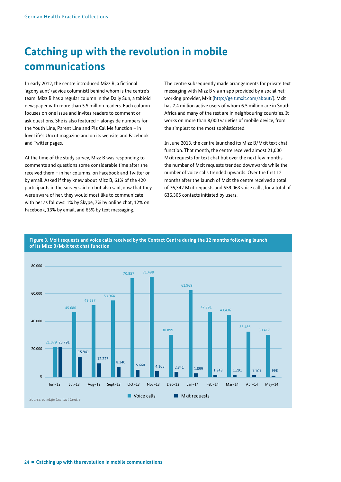# **Catching up with the revolution in mobile communications**

In early 2012, the centre introduced Mizz B, a fictional 'agony aunt' (advice columnist) behind whom is the centre's team. Mizz B has a regular column in the Daily Sun, a tabloid newspaper with more than 5.5 million readers. Each column focuses on one issue and invites readers to comment or ask questions. She is also featured – alongside numbers for the Youth Line, Parent Line and Plz Cal Me function – in loveLife's Uncut magazine and on its website and Facebook and Twitter pages.

At the time of the study survey, Mizz B was responding to comments and questions some considerable time after she received them – in her columns, on Facebook and Twitter or by email. Asked if they knew about Mizz B, 61% of the 420 participants in the survey said no but also said, now that they were aware of her, they would most like to communicate with her as follows: 1% by Skype, 7% by online chat, 12% on Facebook, 13% by email, and 63% by text messaging.

The centre subsequently made arrangements for private text messaging with Mizz B via an app provided by a social networking provider, Mxit (http://ge t.mxit.com/about/). Mxit has 7.4 million active users of whom 6.5 million are in South Africa and many of the rest are in neighbouring countries. It works on more than 8,000 varieties of mobile device, from the simplest to the most sophisticated.

In June 2013, the centre launched its Mizz B/Mxit text chat function. That month, the centre received almost 21,000 Mxit requests for text chat but over the next few months the number of Mxit requests trended downwards while the number of voice calls trended upwards. Over the first 12 months after the launch of Mxit the centre received a total of 76,342 Mxit requests and 559,063 voice calls, for a total of 636,305 contacts initiated by users.



#### **Figure 3. Mxit requests and voice calls received by the Contact Centre during the 12 months following launch of its Mizz B/Mxit text chat function**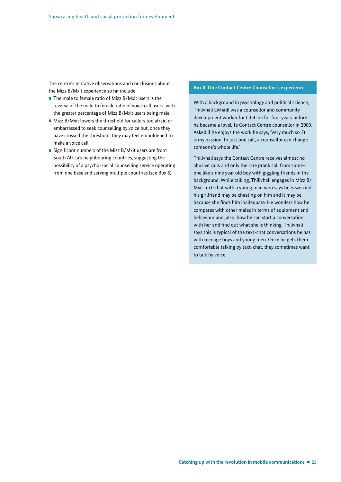The centre's tentative observations and conclusions about the Mizz B/Mxit experience so far include:

- The male to female ratio of Mizz B/Mxit users is the reverse of the male to female ratio of voice call users, with the greater percentage of Mizz B/Mxit users being male.
- Mizz B/Mxit lowers the threshold for callers too afraid or embarrassed to seek counselling by voice but, once they have crossed the threshold, they may feel emboldened to make a voice call.
- Significant numbers of the Mizz B/Mxit users are from South Africa's neighbouring countries, suggesting the possibility of a psycho-social counselling service operating from one base and serving multiple countries (see Box 8).

#### **Box 8. One Contact Centre Counsellor's experience**

With a background in psychology and political science, Thilivhali Livhadi was a counsellor and community development worker for LifeLine for four years before he became a loveLife Contact Centre counsellor in 2009. Asked if he enjoys the work he says, 'Very much so. It is my passion. In just one call, a counsellor can change someone's whole life.'

Thilivhali says the Contact Centre receives almost no abusive calls and only the rare prank call from someone like a nine year old boy with giggling friends in the background. While talking, Thilivhali engages in Mizz B/ Mxit text-chat with a young man who says he is worried his girlfriend may be cheating on him and it may be because she finds him inadequate. He wonders how he compares with other males in terms of equipment and behaviour and, also, how he can start a conversation with her and find out what she is thinking. Thilivhali says this is typical of the text-chat conversations he has with teenage boys and young men. Once he gets them comfortable talking by text-chat, they sometimes want to talk by voice.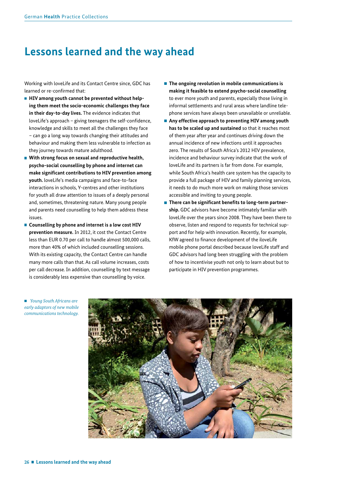## **Lessons learned and the way ahead**

Working with loveLife and its Contact Centre since, GDC has learned or re-confirmed that:

- **E** HIV among vouth cannot be prevented without help**ing them meet the socio-economic challenges they face in their day-to-day lives.** The evidence indicates that loveLife's approach – giving teenagers the self-confidence, knowledge and skills to meet all the challenges they face – can go a long way towards changing their attitudes and behaviour and making them less vulnerable to infection as they journey towards mature adulthood.
- With strong focus on sexual and reproductive health, **psycho-social counselling by phone and internet can make signi!cant contributions to HIV prevention among youth.** loveLife's media campaigns and face-to-face interactions in schools, Y-centres and other institutions for youth all draw attention to issues of a deeply personal and, sometimes, threatening nature. Many young people and parents need counselling to help them address these issues.
- **Counselling by phone and internet is a low cost HIV prevention measure.** In 2012, it cost the Contact Centre less than EUR 0.70 per call to handle almost 500,000 calls, more than 40% of which included counselling sessions. With its existing capacity, the Contact Centre can handle many more calls than that. As call volume increases, costs per call decrease. In addition, counselling by text message is considerably less expensive than counselling by voice.
- The ongoing revolution in mobile communications is **making it feasible to extend psycho-social counselling**  to ever more youth and parents, especially those living in informal settlements and rural areas where landline telephone services have always been unavailable or unreliable.
- Any effective approach to preventing HIV among youth **has to be scaled up and sustained** so that it reaches most of them year after year and continues driving down the annual incidence of new infections until it approaches zero. The results of South Africa's 2012 HIV prevalence, incidence and behaviour survey indicate that the work of loveLife and its partners is far from done. For example, while South Africa's health care system has the capacity to provide a full package of HIV and family planning services, it needs to do much more work on making those services accessible and inviting to young people.
- $\blacksquare$  There can be significant benefits to long-term partner**ship.** GDC advisors have become intimately familiar with loveLife over the years since 2008. They have been there to observe, listen and respond to requests for technical support and for help with innovation. Recently, for example, KfW agreed to finance development of the iloveLife mobile phone portal described because loveLife staff and GDC advisors had long been struggling with the problem of how to incentivise youth not only to learn about but to participate in HIV prevention programmes.



 *Young South Africans are early adaptors of new mobile communications technology.*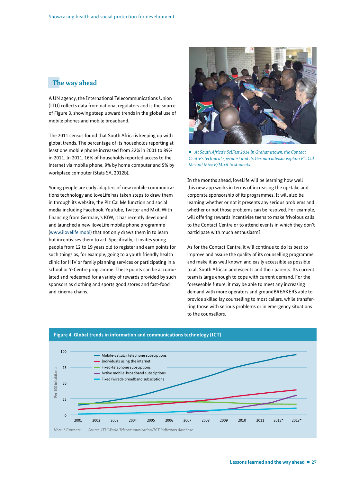## **The way ahead**

A UN agency, the International Telecommunications Union (ITU) collects data from national regulators and is the source of Figure 3, showing steep upward trends in the global use of mobile phones and mobile broadband.

The 2011 census found that South Africa is keeping up with global trends. The percentage of its households reporting at least one mobile phone increased from 32% in 2001 to 89% in 2011. In 2011, 16% of households reported access to the internet via mobile phone, 9% by home computer and 5% by workplace computer (Stats SA, 2012b).

Young people are early adapters of new mobile communications technology and loveLife has taken steps to draw them in through its website, the Plz Cal Me function and social media including Facebook, YouTube, Twitter and Mxit. With financing from Germany's KfW, it has recently developed and launched a new iloveLife mobile phone programme (www.ilovelife.mobi) that not only draws them in to learn but incentivises them to act. Specifically, it invites young people from 12 to 19 years old to register and earn points for such things as, for example, going to a youth friendly health clinic for HIV or family planning services or participating in a school or Y-Centre programme. These points can be accumulated and redeemed for a variety of rewards provided by such sponsors as clothing and sports good stores and fast-food and cinema chains.



■ *At South Africa's SciFest 2014 in Grahamstown, the Contact Centre's technical specialist and its German advisor explain Plz Cal Me and Mizz B/Mixit to students.*

In the months ahead, loveLife will be learning how well this new app works in terms of increasing the up-take and corporate sponsorship of its programmes. It will also be learning whether or not it presents any serious problems and whether or not those problems can be resolved. For example, will offering rewards incentivise teens to make frivolous calls to the Contact Centre or to attend events in which they don't participate with much enthusiasm?

As for the Contact Centre, it will continue to do its best to improve and assure the quality of its counselling programme and make it as well known and easily accessible as possible to all South African adolescents and their parents. Its current team is large enough to cope with current demand. For the foreseeable future, it may be able to meet any increasing demand with more operators and groundBREAKERS able to provide skilled lay counselling to most callers, while transferring those with serious problems or in emergency situations to the counsellors.



### **Figure 4. Global trends in information and communications technology (ICT)**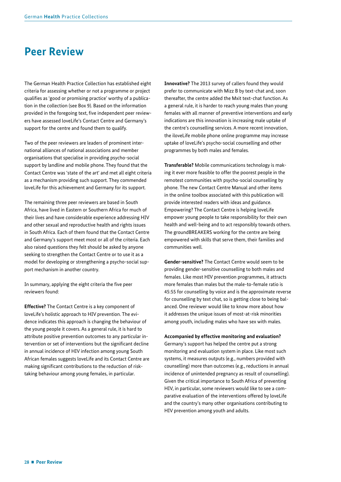# **Peer Review**

The German Health Practice Collection has established eight criteria for assessing whether or not a programme or project qualifies as 'good or promising practice' worthy of a publication in the collection (see Box 9). Based on the information provided in the foregoing text, five independent peer reviewers have assessed loveLife's Contact Centre and Germany's support for the centre and found them to qualify.

Two of the peer reviewers are leaders of prominent international alliances of national associations and member organisations that specialise in providing psycho-social support by landline and mobile phone. They found that the Contact Centre was 'state of the art' and met all eight criteria as a mechanism providing such support. They commended loveLife for this achievement and Germany for its support.

The remaining three peer reviewers are based in South Africa, have lived in Eastern or Southern Africa for much of their lives and have considerable experience addressing HIV and other sexual and reproductive health and rights issues in South Africa. Each of them found that the Contact Centre and Germany's support meet most or all of the criteria. Each also raised questions they felt should be asked by anyone seeking to strengthen the Contact Centre or to use it as a model for developing or strengthening a psycho-social support mechanism in another country.

In summary, applying the eight criteria the five peer reviewers found:

**Effective?** The Contact Centre is a key component of loveLife's holistic approach to HIV prevention. The evidence indicates this approach is changing the behaviour of the young people it covers. As a general rule, it is hard to attribute positive prevention outcomes to any particular intervention or set of interventions but the significant decline in annual incidence of HIV infection among young South African females suggests loveLife and its Contact Centre are making significant contributions to the reduction of risktaking behaviour among young females, in particular.

**Innovative?** The 2013 survey of callers found they would prefer to communicate with Mizz B by text-chat and, soon thereafter, the centre added the Mxit text-chat function. As a general rule, it is harder to reach young males than young females with all manner of preventive interventions and early indications are this innovation is increasing male uptake of the centre's counselling services. A more recent innovation, the iloveLife mobile phone online programme may increase uptake of loveLife's psycho-social counselling and other programmes by both males and females.

**Transferable?** Mobile communications technology is making it ever more feasible to offer the poorest people in the remotest communities with psycho-social counselling by phone. The new Contact Centre Manual and other items in the online toolbox associated with this publication will provide interested readers with ideas and guidance. Empowering? The Contact Centre is helping loveLife empower young people to take responsibility for their own health and well-being and to act responsibly towards others. The groundBREAKERS working for the centre are being empowered with skills that serve them, their families and communities well.

**Gender-sensitive?** The Contact Centre would seem to be providing gender-sensitive counselling to both males and females. Like most HIV prevention programmes, it attracts more females than males but the male-to-female ratio is 45:55 for counselling by voice and is the approximate reverse for counselling by text chat, so is getting close to being balanced. One reviewer would like to know more about how it addresses the unique issues of most-at-risk minorities among youth, including males who have sex with males.

**Accompanied by effective monitoring and evaluation?** 

Germany's support has helped the centre put a strong monitoring and evaluation system in place. Like most such systems, it measures outputs (e.g., numbers provided with counselling) more than outcomes (e.g., reductions in annual incidence of unintended pregnancy as result of counselling). Given the critical importance to South Africa of preventing HIV, in particular, some reviewers would like to see a comparative evaluation of the interventions offered by loveLife and the country's many other organisations contributing to HIV prevention among youth and adults.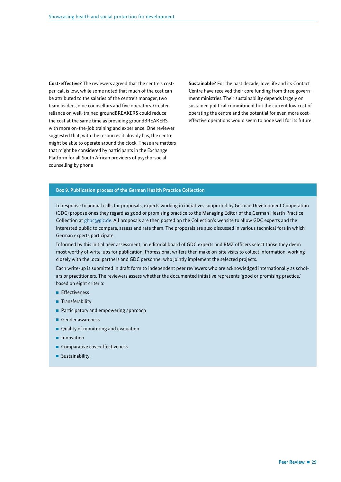**Cost-effective?** The reviewers agreed that the centre's costper-call is low, while some noted that much of the cost can be attributed to the salaries of the centre's manager, two team leaders, nine counsellors and five operators. Greater reliance on well-trained groundBREAKERS could reduce the cost at the same time as providing groundBREAKERS with more on-the-job training and experience. One reviewer suggested that, with the resources it already has, the centre might be able to operate around the clock. These are matters that might be considered by participants in the Exchange Platform for all South African providers of psycho-social counselling by phone

**Sustainable?** For the past decade, loveLife and its Contact Centre have received their core funding from three government ministries. Their sustainability depends largely on sustained political commitment but the current low cost of operating the centre and the potential for even more costeffective operations would seem to bode well for its future.

#### **Box 9. Publication process of the German Health Practice Collection**

In response to annual calls for proposals, experts working in initiatives supported by German Development Cooperation (GDC) propose ones they regard as good or promising practice to the Managing Editor of the German Hearth Practice Collection at ghpc@giz.de. All proposals are then posted on the Collection's website to allow GDC experts and the interested public to compare, assess and rate them. The proposals are also discussed in various technical fora in which German experts participate.

Informed by this initial peer assessment, an editorial board of GDC experts and BMZ officers select those they deem most worthy of write-ups for publication. Professional writers then make on-site visits to collect information, working closely with the local partners and GDC personnel who jointly implement the selected projects.

Each write-up is submitted in draft form to independent peer reviewers who are acknowledged internationally as scholars or practitioners. The reviewers assess whether the documented initiative represents 'good or promising practice,' based on eight criteria:

- **E** Fffectiveness
- **Transferability**
- **Participatory and empowering approach**
- Gender awareness
- Quality of monitoring and evaluation
- **Innovation**
- Comparative cost-effectiveness
- Sustainability.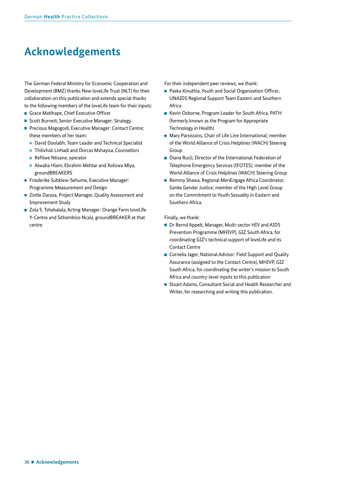# **Acknowledgements**

The German Federal Ministry for Economic Cooperation and Development (BMZ) thanks New loveLife Trust (NLT) for their collaboration on this publication and extends special thanks to the following members of the loveLife team for their inputs:

- Grace Matlhape, Chief Executive Officer
- Scott Burnett, Senior Executive Manager: Strategy
- Precious Magogodi, Executive Manager: Contact Centre; these members of her team:
	- David Doolabh, Team Leader and Technical Specialist
	- **Thilivhali Livhadi and Dorcas Mshayisa, Counsellors**
	- Refilwe Ntisane, operator
	- Alwaba Hlam, Ebrahim Mehtar and Xoliswa Miya, groundBREAKERS
- Friederike Subklew-Sehume, Executive Manager: Programme Measurement and Design
- Zintle Daraza, Project Manager, Quality Assessment and Improvement Study
- Zola S. Tshabalala, Acting Manager: Orange Farm loveLife Y-Centre and Sithembiso Ncala, groundBREAKER at that centre

For their independent peer reviews, we thank:

- Paska Kinuthia, Youth and Social Organization Officer, UNAIDS Regional Support Team Eastern and Southern Africa
- Kevin Osborne, Program Leader for South Africa, PATH (formerly known as the Program for Appropriate Technology in Health)
- Mary Parsissons, Chair of Life Line International; member of the World Alliance of Crisis Helplines (WACH) Steering Group
- Diana Rucli, Director of the International Federation of Telephone Emergency Services (IFOTES); member of the World Alliance of Crisis Helplines (WACH) Steering Group
- Remmy Shawa, Regional MenEngage Africa Coordinator, Sonke Gender Justice; member of the High Level Group on the Commitment to Youth Sexuality in Eastern and Southern Africa.

Finally, we thank:

- Dr Bernd Appelt, Manager, Multi-sector HIV and AIDS Prevention Programme (MHIVP), GIZ South Africa, for coordinating GIZ's technical support of loveLife and its Contact Centre
- Cornelia Jager, National Advisor: Field Support and Quality Assurance (assigned to the Contact Centre), MHIVP, GIZ South Africa, for coordinating the writer's mission to South Africa and country-level inputs to this publication
- Stuart Adams, Consultant Social and Health Researcher and Writer, for researching and writing this publication.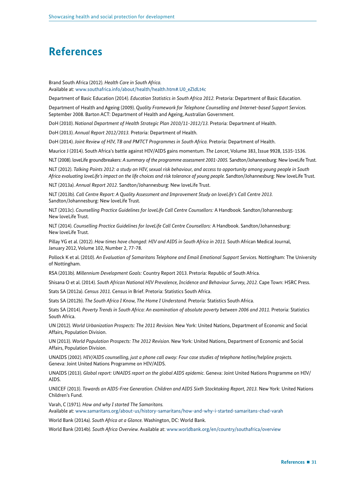# **References**

Brand South Africa (2012). *Health Care in South Africa.*  Available at: www.southafrica.info/about/health/health.htm#.U0\_eZldLt4c

Department of Basic Education (2014). *Education Statistics in South Africa 2012.* Pretoria: Department of Basic Education.

Department of Health and Ageing (2009). *Quality Framework for Telephone Counselling and Internet-based Support Services.*  September 2008. Barton ACT: Department of Health and Ageing, Australian Government.

DoH (2010). *National Department of Health Strategic Plan 2010/11-2012/13.* Pretoria: Department of Health.

DoH (2013). *Annual Report 2012/2013.* Pretoria: Department of Health.

DoH (2014). *Joint Review of HIV, TB and PMTCT Programmes in South Africa.* Pretoria: Department of Health.

Maurice J (2014). South Africa's battle against HIV/AIDS gains momentum. *The Lancet*, Volume 383, Issue 9928, 1535-1536.

NLT (2008). loveLife groundbreakers: *A summary of the programme assessment 2001-2005.* Sandton/Johannesburg: New loveLife Trust.

NLT (2012). *Talking Points 2012: a study on HIV, sexual risk behaviour, and access to opportunity among young people in South Africa evaluating loveLife's impact on the life choices and risk tolerance of young people.* Sandton/Johannesburg: New loveLife Trust.

NLT (2013a). *Annual Report 2012.* Sandton/Johannesburg: New loveLife Trust.

NLT (2013b). *Call Centre Report: A Quality Assessment and Improvement Study on loveLife's Call Centre 2013.* Sandton/Johannesburg: New loveLife Trust.

NLT (2013c). *Counselling Practice Guidelines for loveLife Call Centre Counsellors:* A Handbook. Sandton/Johannesburg: New loveLife Trust.

NLT (2014). *Counselling Practice Guidelines for loveLife Call Centre Counsellors:* A Handbook. Sandton/Johannesburg: New loveLife Trust.

Pillay YG et al. (2012). *How times have changed: HIV and AIDS in South Africa in 2011*. South African Medical Journal, January 2012, Volume 102, Number 2, 77-78.

Pollock K et al. (2010). *An Evaluation of Samaritans Telephone and Email Emotional Support Services.* Nottingham: The University of Nottingham.

RSA (2013b). *Millennium Development Goals:* Country Report 2013. Pretoria: Republic of South Africa.

Shisana O et al. (2014). *South African National HIV Prevalence, Incidence and Behaviour Survey, 2012.* Cape Town: HSRC Press.

Stats SA (2012a). *Census 2011.* Census in Brief. Pretoria: Statistics South Africa.

Stats SA (2012b). *The South Africa I Know, The Home I Understand.* Pretoria: Statistics South Africa.

Stats SA (2014). *Poverty Trends in South Africa: An examination of absolute poverty between 2006 and 2011.* Pretoria: Statistics South Africa.

UN (2012). *World Urbanization Prospects: The 2011 Revision.* New York: United Nations, Department of Economic and Social Affairs, Population Division.

UN (2013). *World Population Prospects: The 2012 Revision.* New York: United Nations, Department of Economic and Social Affairs, Population Division.

UNAIDS (2002). *HIV/AIDS counselling, just a phone call away: Four case studies of telephone hotline/helpline projects.*  Geneva: Joint United Nations Programme on HIV/AIDS.

UNAIDS (2013). *Global report: UNAIDS report on the global AIDS epidemic.* Geneva: Joint United Nations Programme on HIV/ AIDS.

UNICEF (2013). *Towards an AIDS-Free Generation. Children and AIDS Sixth Stocktaking Report, 2013.* New York: United Nations Children's Fund.

Varah, C (1971). *How and why I started The Samaritans.* 

Available at: www.samaritans.org/about-us/history-samaritans/how-and-why-i-started-samaritans-chad-varah

World Bank (2014a). *South Africa at a Glance.* Washington, DC: World Bank.

World Bank (2014b). *South Africa Overview.* Available at: www.worldbank.org/en/country/southafrica/overview